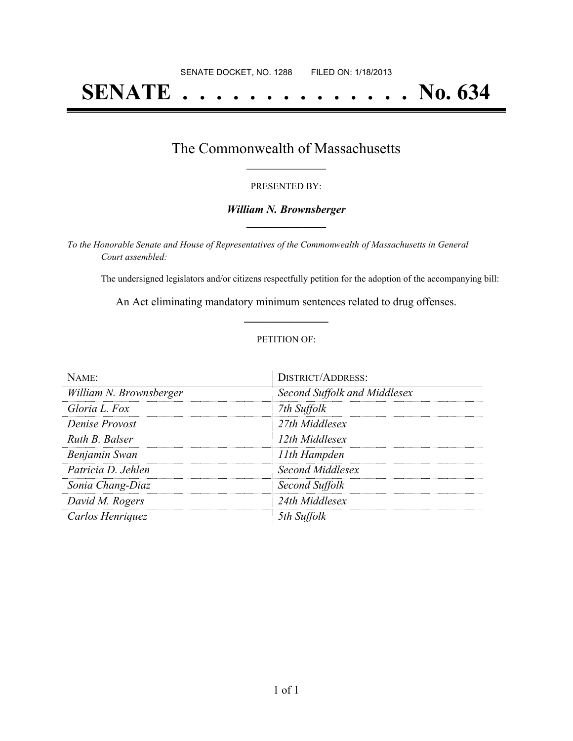# **SENATE . . . . . . . . . . . . . . No. 634**

### The Commonwealth of Massachusetts **\_\_\_\_\_\_\_\_\_\_\_\_\_\_\_\_\_**

#### PRESENTED BY:

#### *William N. Brownsberger* **\_\_\_\_\_\_\_\_\_\_\_\_\_\_\_\_\_**

*To the Honorable Senate and House of Representatives of the Commonwealth of Massachusetts in General Court assembled:*

The undersigned legislators and/or citizens respectfully petition for the adoption of the accompanying bill:

An Act eliminating mandatory minimum sentences related to drug offenses. **\_\_\_\_\_\_\_\_\_\_\_\_\_\_\_**

#### PETITION OF:

| $N$ AME:                | <b>DISTRICT/ADDRESS:</b>     |
|-------------------------|------------------------------|
| William N. Brownsberger | Second Suffolk and Middlesex |
| Gloria L. Fox           | 7th Suffolk                  |
| Denise Provost          | 27th Middlesex               |
| Ruth B. Balser          | 12th Middlesex               |
| Benjamin Swan           | 11th Hampden                 |
| Patricia D. Jehlen      | Second Middlesex             |
| Sonia Chang-Diaz        | Second Suffolk               |
| David M. Rogers         | 24th Middlesex               |
| Carlos Henriquez        | 5th Suffolk                  |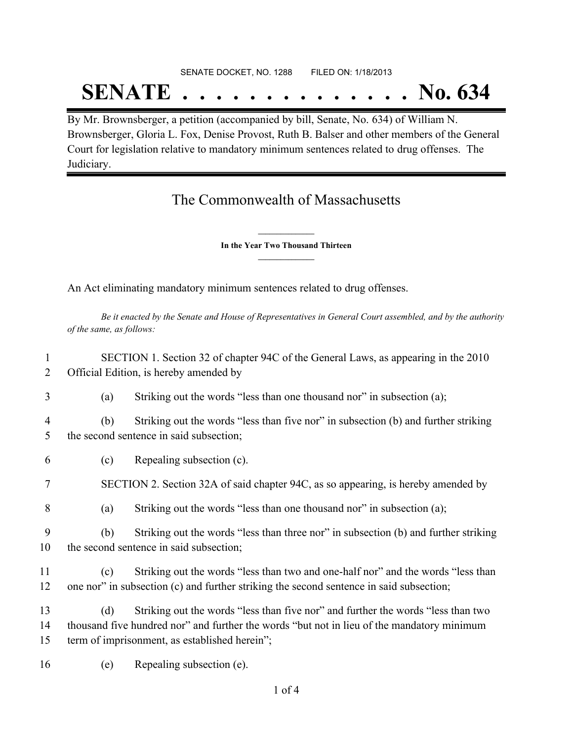## SENATE DOCKET, NO. 1288 FILED ON: 1/18/2013 **SENATE . . . . . . . . . . . . . . No. 634**

By Mr. Brownsberger, a petition (accompanied by bill, Senate, No. 634) of William N. Brownsberger, Gloria L. Fox, Denise Provost, Ruth B. Balser and other members of the General Court for legislation relative to mandatory minimum sentences related to drug offenses. The Judiciary.

## The Commonwealth of Massachusetts

**\_\_\_\_\_\_\_\_\_\_\_\_\_\_\_ In the Year Two Thousand Thirteen \_\_\_\_\_\_\_\_\_\_\_\_\_\_\_**

An Act eliminating mandatory minimum sentences related to drug offenses.

Be it enacted by the Senate and House of Representatives in General Court assembled, and by the authority *of the same, as follows:*

1 SECTION 1. Section 32 of chapter 94C of the General Laws, as appearing in the 2010 2 Official Edition, is hereby amended by

- 3 (a) Striking out the words "less than one thousand nor" in subsection (a);
- 4 (b) Striking out the words "less than five nor" in subsection (b) and further striking 5 the second sentence in said subsection;
- 6 (c) Repealing subsection (c).
- 7 SECTION 2. Section 32A of said chapter 94C, as so appearing, is hereby amended by
- 8 (a) Striking out the words "less than one thousand nor" in subsection (a);
- 9 (b) Striking out the words "less than three nor" in subsection (b) and further striking 10 the second sentence in said subsection;
- 11 (c) Striking out the words "less than two and one-half nor" and the words "less than 12 one nor" in subsection (c) and further striking the second sentence in said subsection;
- 13 (d) Striking out the words "less than five nor" and further the words "less than two 14 thousand five hundred nor" and further the words "but not in lieu of the mandatory minimum 15 term of imprisonment, as established herein";
- 16 (e) Repealing subsection (e).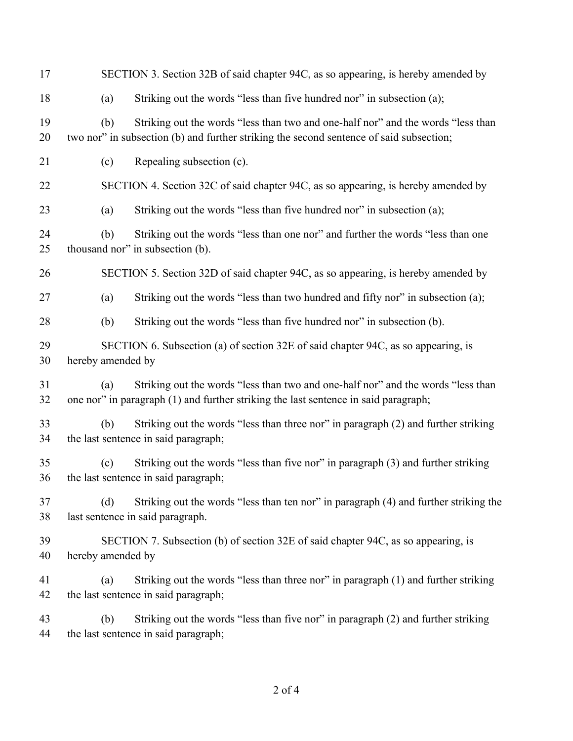| 17       | SECTION 3. Section 32B of said chapter 94C, as so appearing, is hereby amended by                                                                                                  |
|----------|------------------------------------------------------------------------------------------------------------------------------------------------------------------------------------|
| 18       | Striking out the words "less than five hundred nor" in subsection (a);<br>(a)                                                                                                      |
| 19<br>20 | Striking out the words "less than two and one-half nor" and the words "less than<br>(b)<br>two nor" in subsection (b) and further striking the second sentence of said subsection; |
| 21       | Repealing subsection (c).<br>(c)                                                                                                                                                   |
| 22       | SECTION 4. Section 32C of said chapter 94C, as so appearing, is hereby amended by                                                                                                  |
| 23       | Striking out the words "less than five hundred nor" in subsection (a);<br>(a)                                                                                                      |
| 24<br>25 | Striking out the words "less than one nor" and further the words "less than one<br>(b)<br>thousand nor" in subsection (b).                                                         |
| 26       | SECTION 5. Section 32D of said chapter 94C, as so appearing, is hereby amended by                                                                                                  |
| 27       | Striking out the words "less than two hundred and fifty nor" in subsection (a);<br>(a)                                                                                             |
| 28       | (b)<br>Striking out the words "less than five hundred nor" in subsection (b).                                                                                                      |
| 29<br>30 | SECTION 6. Subsection (a) of section 32E of said chapter 94C, as so appearing, is<br>hereby amended by                                                                             |
| 31<br>32 | Striking out the words "less than two and one-half nor" and the words "less than<br>(a)<br>one nor" in paragraph (1) and further striking the last sentence in said paragraph;     |
| 33<br>34 | Striking out the words "less than three nor" in paragraph (2) and further striking<br>(b)<br>the last sentence in said paragraph;                                                  |
| 35<br>36 | Striking out the words "less than five nor" in paragraph (3) and further striking<br>(c)<br>the last sentence in said paragraph;                                                   |
| 37<br>38 | (d)<br>Striking out the words "less than ten nor" in paragraph (4) and further striking the<br>last sentence in said paragraph.                                                    |
| 39<br>40 | SECTION 7. Subsection (b) of section 32E of said chapter 94C, as so appearing, is<br>hereby amended by                                                                             |
| 41<br>42 | Striking out the words "less than three nor" in paragraph (1) and further striking<br>(a)<br>the last sentence in said paragraph;                                                  |
| 43<br>44 | Striking out the words "less than five nor" in paragraph (2) and further striking<br>(b)<br>the last sentence in said paragraph;                                                   |
|          |                                                                                                                                                                                    |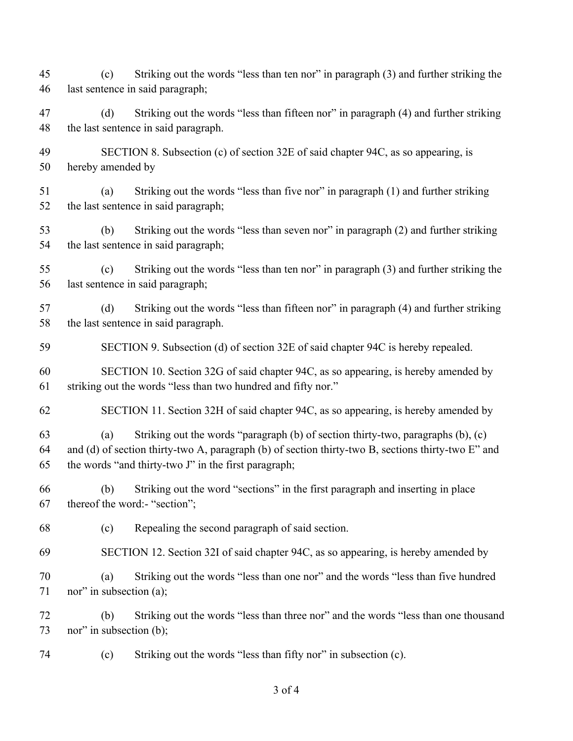(c) Striking out the words "less than ten nor" in paragraph (3) and further striking the last sentence in said paragraph; (d) Striking out the words "less than fifteen nor" in paragraph (4) and further striking the last sentence in said paragraph. SECTION 8. Subsection (c) of section 32E of said chapter 94C, as so appearing, is hereby amended by (a) Striking out the words "less than five nor" in paragraph (1) and further striking the last sentence in said paragraph; (b) Striking out the words "less than seven nor" in paragraph (2) and further striking the last sentence in said paragraph; (c) Striking out the words "less than ten nor" in paragraph (3) and further striking the last sentence in said paragraph; (d) Striking out the words "less than fifteen nor" in paragraph (4) and further striking the last sentence in said paragraph. SECTION 9. Subsection (d) of section 32E of said chapter 94C is hereby repealed. SECTION 10. Section 32G of said chapter 94C, as so appearing, is hereby amended by striking out the words "less than two hundred and fifty nor." SECTION 11. Section 32H of said chapter 94C, as so appearing, is hereby amended by (a) Striking out the words "paragraph (b) of section thirty-two, paragraphs (b), (c) and (d) of section thirty-two A, paragraph (b) of section thirty-two B, sections thirty-two E" and the words "and thirty-two J" in the first paragraph; (b) Striking out the word "sections" in the first paragraph and inserting in place thereof the word:- "section"; (c) Repealing the second paragraph of said section. SECTION 12. Section 32I of said chapter 94C, as so appearing, is hereby amended by (a) Striking out the words "less than one nor" and the words "less than five hundred 71 nor" in subsection (a); (b) Striking out the words "less than three nor" and the words "less than one thousand nor" in subsection (b); (c) Striking out the words "less than fifty nor" in subsection (c).